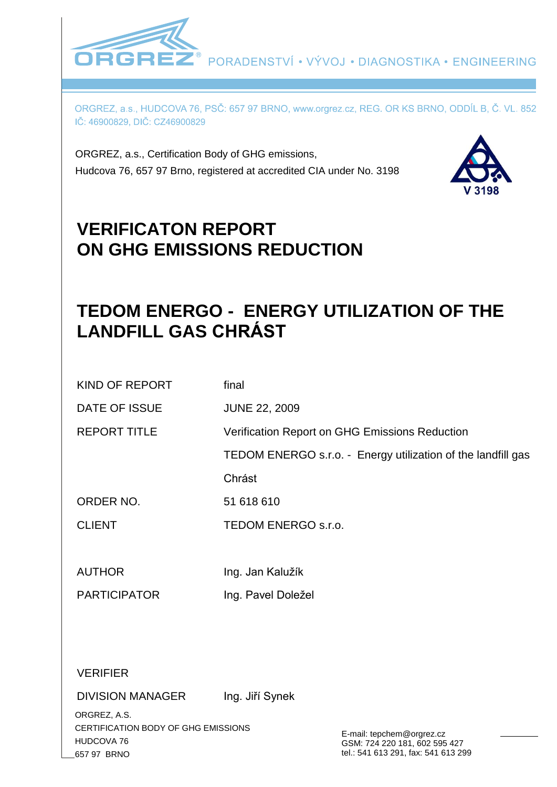

ORGREZ, a.s., HUDCOVA 76, PSČ: 657 97 BRNO, www.orgrez.cz, REG. OR KS BRNO, ODDÍL B, Č. VL. 852 IČ: 46900829, DIČ: CZ46900829

ORGREZ, a.s., Certification Body of GHG emissions, Hudcova 76, 657 97 Brno, registered at accredited CIA under No. 3198



# **VERIFICATON REPORT ON GHG EMISSIONS REDUCTION**

# **TEDOM ENERGO - ENERGY UTILIZATION OF THE LANDFILL GAS CHRÁST**

| <b>KIND OF REPORT</b>   | final                                                        |
|-------------------------|--------------------------------------------------------------|
| DATE OF ISSUE           | <b>JUNE 22, 2009</b>                                         |
| <b>REPORT TITLE</b>     | Verification Report on GHG Emissions Reduction               |
|                         | TEDOM ENERGO s.r.o. - Energy utilization of the landfill gas |
|                         | Chrást                                                       |
| ORDER NO.               | 51 618 610                                                   |
| <b>CLIENT</b>           | TEDOM ENERGO s.r.o.                                          |
|                         |                                                              |
| <b>AUTHOR</b>           | Ing. Jan Kalužík                                             |
| <b>PARTICIPATOR</b>     | Ing. Pavel Doležel                                           |
|                         |                                                              |
|                         |                                                              |
| <b>VERIFIER</b>         |                                                              |
| <b>DIVISION MANAGER</b> | Ing. Jiří Synek                                              |
|                         |                                                              |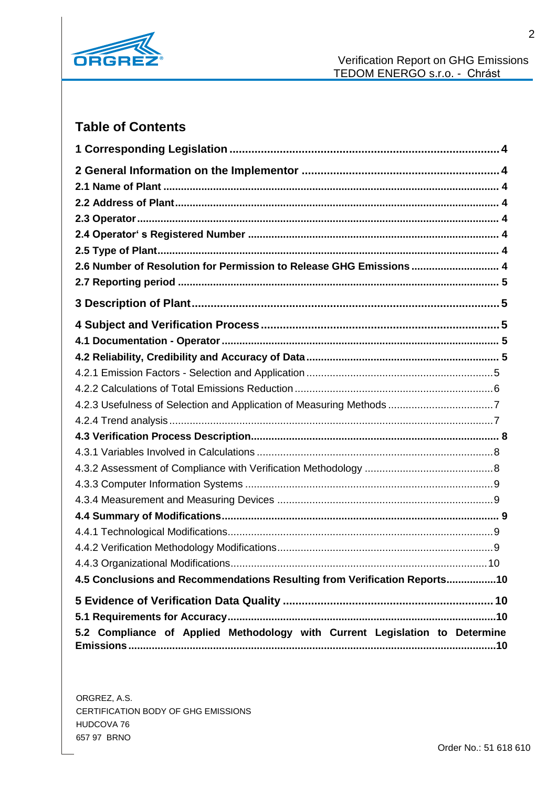

# **Table of Contents**

| 2.6 Number of Resolution for Permission to Release GHG Emissions 4          |  |
|-----------------------------------------------------------------------------|--|
|                                                                             |  |
|                                                                             |  |
|                                                                             |  |
|                                                                             |  |
|                                                                             |  |
|                                                                             |  |
|                                                                             |  |
|                                                                             |  |
|                                                                             |  |
|                                                                             |  |
|                                                                             |  |
|                                                                             |  |
|                                                                             |  |
|                                                                             |  |
|                                                                             |  |
|                                                                             |  |
|                                                                             |  |
|                                                                             |  |
| 4.5 Conclusions and Recommendations Resulting from Verification Reports10   |  |
|                                                                             |  |
|                                                                             |  |
| 5.2 Compliance of Applied Methodology with Current Legislation to Determine |  |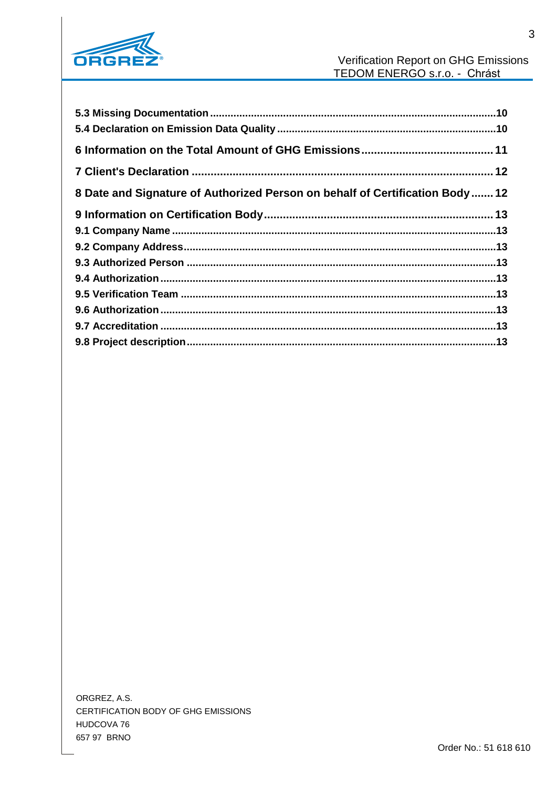

| 8 Date and Signature of Authorized Person on behalf of Certification Body  12 |  |
|-------------------------------------------------------------------------------|--|
|                                                                               |  |
|                                                                               |  |
|                                                                               |  |
|                                                                               |  |
|                                                                               |  |
|                                                                               |  |
|                                                                               |  |
|                                                                               |  |
|                                                                               |  |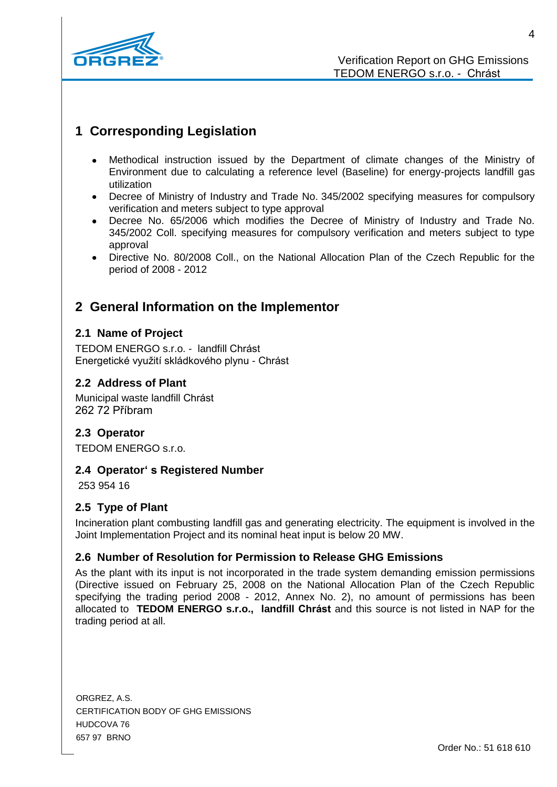

# **1 Corresponding Legislation**

- Methodical instruction issued by the Department of climate changes of the Ministry of Environment due to calculating a reference level (Baseline) for energy-projects landfill gas utilization
- Decree of Ministry of Industry and Trade No. 345/2002 specifying measures for compulsory verification and meters subject to type approval
- Decree No. 65/2006 which modifies the Decree of Ministry of Industry and Trade No. 345/2002 Coll. specifying measures for compulsory verification and meters subject to type approval
- Directive No. 80/2008 Coll., on the National Allocation Plan of the Czech Republic for the  $\bullet$ period of 2008 - 2012

# **2 General Information on the Implementor**

# **2.1 Name of Project**

TEDOM ENERGO s.r.o. - landfill Chrást Energetické využití skládkového plynu - Chrást

# **2.2 Address of Plant**

Municipal waste landfill Chrást 262 72 Příbram

## **2.3 Operator**

TEDOM ENERGO s.r.o.

## **2.4 Operator' s Registered Number**

253 954 16

## **2.5 Type of Plant**

Incineration plant combusting landfill gas and generating electricity. The equipment is involved in the Joint Implementation Project and its nominal heat input is below 20 MW.

## **2.6 Number of Resolution for Permission to Release GHG Emissions**

As the plant with its input is not incorporated in the trade system demanding emission permissions (Directive issued on February 25, 2008 on the National Allocation Plan of the Czech Republic specifying the trading period 2008 - 2012, Annex No. 2), no amount of permissions has been allocated to **TEDOM ENERGO s.r.o., landfill Chrást** and this source is not listed in NAP for the trading period at all.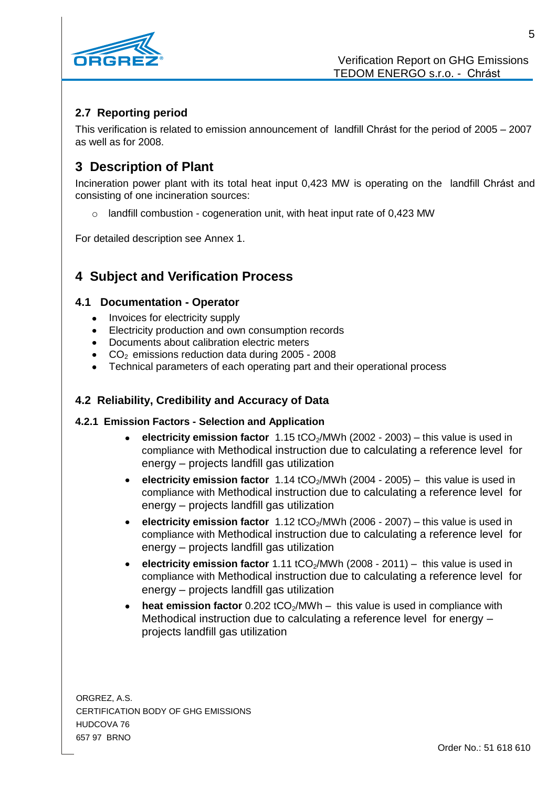

# **2.7 Reporting period**

This verification is related to emission announcement of landfill Chrást for the period of 2005 – 2007 as well as for 2008.

# **3 Description of Plant**

Incineration power plant with its total heat input 0,423 MW is operating on the landfill Chrást and consisting of one incineration sources:

o landfill combustion - cogeneration unit, with heat input rate of 0,423 MW

For detailed description see Annex 1.

# **4 Subject and Verification Process**

## **4.1 Documentation - Operator**

- $\bullet$ Invoices for electricity supply
- Electricity production and own consumption records
- Documents about calibration electric meters
- CO<sup>2</sup> emissions reduction data during 2005 2008
- Technical parameters of each operating part and their operational process

# **4.2 Reliability, Credibility and Accuracy of Data**

## **4.2.1 Emission Factors - Selection and Application**

- **electricity emission factor** 1.15 tCO2/MWh (2002 2003) this value is used in compliance with Methodical instruction due to calculating a reference level for energy – projects landfill gas utilization
- **electricity emission factor** 1.14 tCO<sub>2</sub>/MWh (2004 2005) this value is used in compliance with Methodical instruction due to calculating a reference level for energy – projects landfill gas utilization
- **electricity emission factor** 1.12 tCO<sub>2</sub>/MWh (2006 2007) this value is used in compliance with Methodical instruction due to calculating a reference level for energy – projects landfill gas utilization
- **electricity emission factor** 1.11 tCO<sub>2</sub>/MWh (2008 2011) this value is used in compliance with Methodical instruction due to calculating a reference level for energy – projects landfill gas utilization
- **heat emission factor** 0.202 tCO<sub>2</sub>/MWh this value is used in compliance with Methodical instruction due to calculating a reference level for energy – projects landfill gas utilization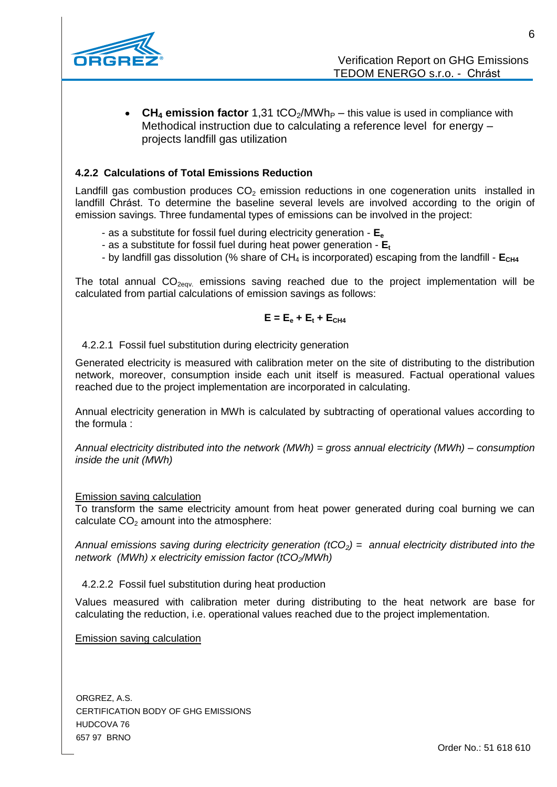

• CH<sub>4</sub> **emission factor** 1,31 tCO<sub>2</sub>/MWh<sub>P</sub> – this value is used in compliance with Methodical instruction due to calculating a reference level for energy – projects landfill gas utilization

### **4.2.2 Calculations of Total Emissions Reduction**

Landfill gas combustion produces  $CO<sub>2</sub>$  emission reductions in one cogeneration units installed in landfill Chrást. To determine the baseline several levels are involved according to the origin of emission savings. Three fundamental types of emissions can be involved in the project:

- as a substitute for fossil fuel during electricity generation **E<sup>e</sup>**
- as a substitute for fossil fuel during heat power generation **E<sup>t</sup>**
- by landfill gas dissolution (% share of CH<sub>4</sub> is incorporated) escaping from the landfill  $E_{CH4}$

The total annual  $CO<sub>2eqv</sub>$  emissions saving reached due to the project implementation will be calculated from partial calculations of emission savings as follows:

$$
\mathsf{E} = \mathsf{E}_{\mathrm{e}} + \mathsf{E}_{\mathrm{t}} + \mathsf{E}_{\mathrm{CH4}}
$$

4.2.2.1 Fossil fuel substitution during electricity generation

Generated electricity is measured with calibration meter on the site of distributing to the distribution network, moreover, consumption inside each unit itself is measured. Factual operational values reached due to the project implementation are incorporated in calculating.

Annual electricity generation in MWh is calculated by subtracting of operational values according to the formula :

*Annual electricity distributed into the network (MWh) = gross annual electricity (MWh) – consumption inside the unit (MWh)*

#### Emission saving calculation

To transform the same electricity amount from heat power generated during coal burning we can calculate  $CO<sub>2</sub>$  amount into the atmosphere:

*Annual emissions saving during electricity generation (tCO2) = annual electricity distributed into the network (MWh) x electricity emission factor (tCO2/MWh)*

4.2.2.2 Fossil fuel substitution during heat production

Values measured with calibration meter during distributing to the heat network are base for calculating the reduction, i.e. operational values reached due to the project implementation.

Emission saving calculation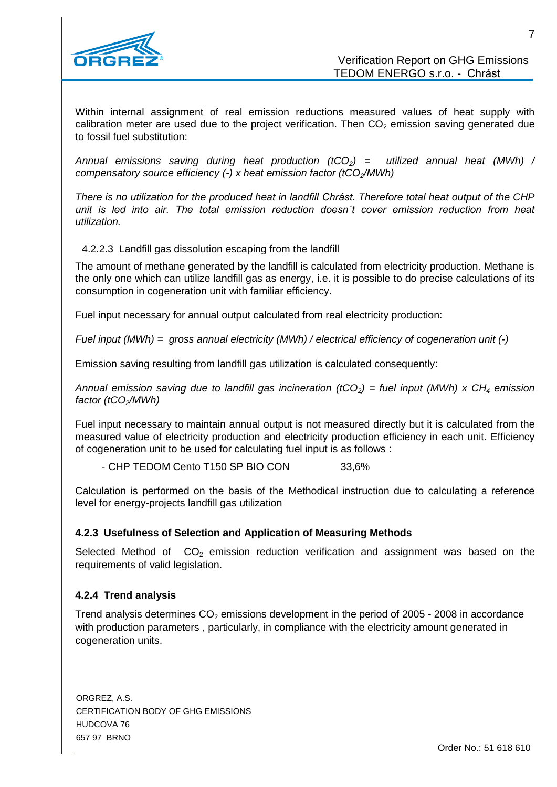

Within internal assignment of real emission reductions measured values of heat supply with calibration meter are used due to the project verification. Then  $CO<sub>2</sub>$  emission saving generated due to fossil fuel substitution:

*Annual emissions saving during heat production (tCO2) = utilized annual heat (MWh) / compensatory source efficiency (-) x heat emission factor (tCO2/MWh)*

*There is no utilization for the produced heat in landfill Chrást. Therefore total heat output of the CHP unit is led into air. The total emission reduction doesn´t cover emission reduction from heat utilization.*

4.2.2.3 Landfill gas dissolution escaping from the landfill

The amount of methane generated by the landfill is calculated from electricity production. Methane is the only one which can utilize landfill gas as energy, i.e. it is possible to do precise calculations of its consumption in cogeneration unit with familiar efficiency.

Fuel input necessary for annual output calculated from real electricity production:

*Fuel input (MWh) = gross annual electricity (MWh) / electrical efficiency of cogeneration unit (-)*

Emission saving resulting from landfill gas utilization is calculated consequently:

*Annual emission saving due to landfill gas incineration (tCO2) = fuel input (MWh) x CH<sup>4</sup> emission factor (tCO2/MWh)* 

Fuel input necessary to maintain annual output is not measured directly but it is calculated from the measured value of electricity production and electricity production efficiency in each unit. Efficiency of cogeneration unit to be used for calculating fuel input is as follows :

- CHP TEDOM Cento T150 SP BIO CON 33,6%

Calculation is performed on the basis of the Methodical instruction due to calculating a reference level for energy-projects landfill gas utilization

#### **4.2.3 Usefulness of Selection and Application of Measuring Methods**

Selected Method of  $CO<sub>2</sub>$  emission reduction verification and assignment was based on the requirements of valid legislation.

#### **4.2.4 Trend analysis**

Trend analysis determines  $CO<sub>2</sub>$  emissions development in the period of 2005 - 2008 in accordance with production parameters , particularly, in compliance with the electricity amount generated in cogeneration units.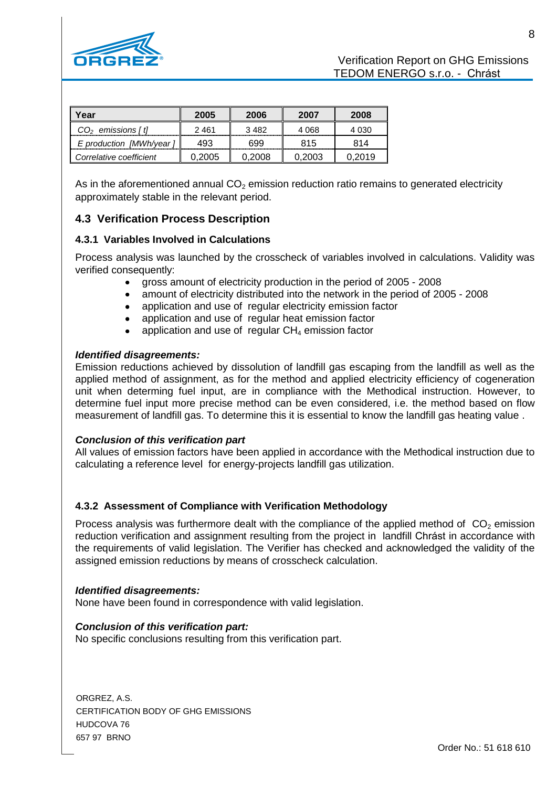

| Year                    | 2005    | 2006   | 2007   | 2008   |
|-------------------------|---------|--------|--------|--------|
| $CO2$ emissions [t]     | 2 4 6 1 | 3482   | 4.068  | 4 030  |
| E production [MWh/year] | 493     | 699    | 815    | 814    |
| Correlative coefficient | 0.2005  | 0.2008 | 0.2003 | በ 2019 |

As in the aforementioned annual  $CO<sub>2</sub>$  emission reduction ratio remains to generated electricity approximately stable in the relevant period.

# **4.3 Verification Process Description**

#### **4.3.1 Variables Involved in Calculations**

Process analysis was launched by the crosscheck of variables involved in calculations. Validity was verified consequently:

- gross amount of electricity production in the period of 2005 2008
- amount of electricity distributed into the network in the period of 2005 2008
- application and use of regular electricity emission factor
- application and use of regular heat emission factor
- application and use of regular  $CH<sub>4</sub>$  emission factor

#### *Identified disagreements:*

Emission reductions achieved by dissolution of landfill gas escaping from the landfill as well as the applied method of assignment, as for the method and applied electricity efficiency of cogeneration unit when determing fuel input, are in compliance with the Methodical instruction. However, to determine fuel input more precise method can be even considered, i.e. the method based on flow measurement of landfill gas. To determine this it is essential to know the landfill gas heating value .

#### *Conclusion of this verification part*

All values of emission factors have been applied in accordance with the Methodical instruction due to calculating a reference level for energy-projects landfill gas utilization.

#### **4.3.2 Assessment of Compliance with Verification Methodology**

Process analysis was furthermore dealt with the compliance of the applied method of  $CO<sub>2</sub>$  emission reduction verification and assignment resulting from the project in landfill Chrást in accordance with the requirements of valid legislation. The Verifier has checked and acknowledged the validity of the assigned emission reductions by means of crosscheck calculation.

#### *Identified disagreements:*

None have been found in correspondence with valid legislation.

#### *Conclusion of this verification part:*

No specific conclusions resulting from this verification part.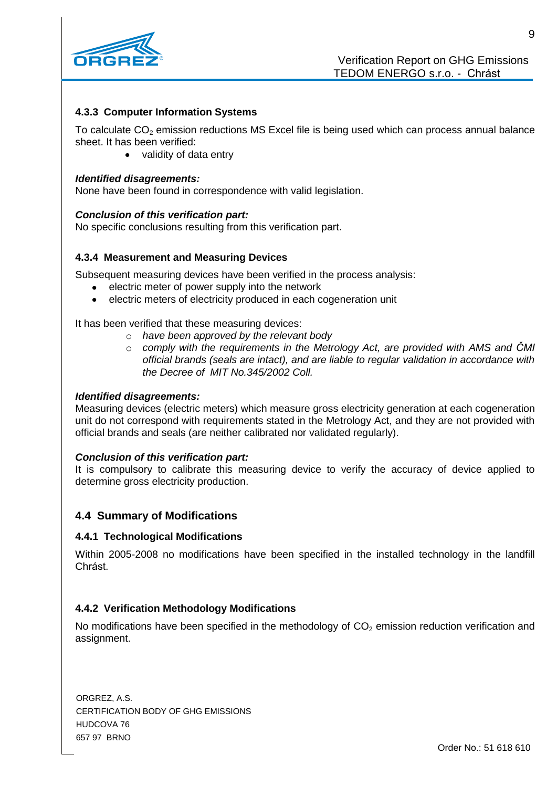

#### **4.3.3 Computer Information Systems**

To calculate  $CO<sub>2</sub>$  emission reductions MS Excel file is being used which can process annual balance sheet. It has been verified:

• validity of data entry

#### *Identified disagreements:*

None have been found in correspondence with valid legislation.

#### *Conclusion of this verification part:*

No specific conclusions resulting from this verification part.

#### **4.3.4 Measurement and Measuring Devices**

Subsequent measuring devices have been verified in the process analysis:

- electric meter of power supply into the network
- electric meters of electricity produced in each cogeneration unit  $\bullet$

It has been verified that these measuring devices:

- o *have been approved by the relevant body*
- o *comply with the requirements in the Metrology Act, are provided with AMS and ČMI official brands (seals are intact), and are liable to regular validation in accordance with the Decree of MIT No.345/2002 Coll.*

#### *Identified disagreements:*

Measuring devices (electric meters) which measure gross electricity generation at each cogeneration unit do not correspond with requirements stated in the Metrology Act, and they are not provided with official brands and seals (are neither calibrated nor validated regularly).

#### *Conclusion of this verification part:*

It is compulsory to calibrate this measuring device to verify the accuracy of device applied to determine gross electricity production.

#### **4.4 Summary of Modifications**

#### **4.4.1 Technological Modifications**

Within 2005-2008 no modifications have been specified in the installed technology in the landfill Chrást.

#### **4.4.2 Verification Methodology Modifications**

No modifications have been specified in the methodology of  $CO<sub>2</sub>$  emission reduction verification and assignment.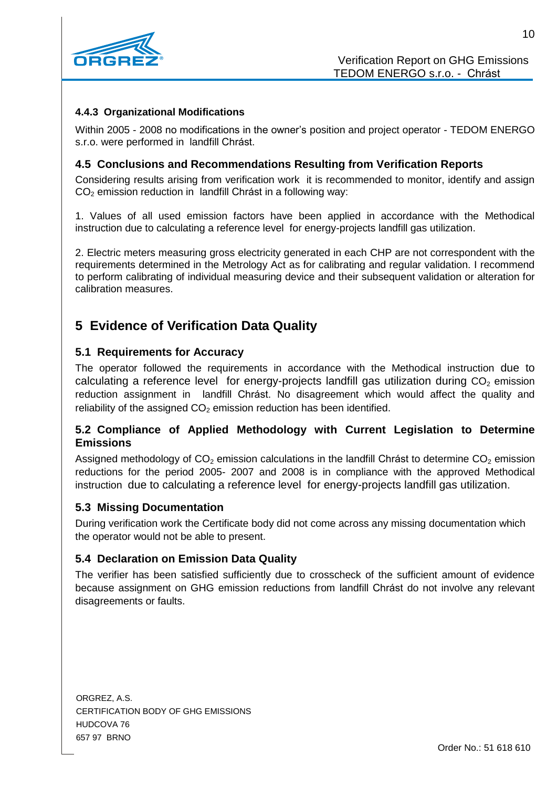

### **4.4.3 Organizational Modifications**

Within 2005 - 2008 no modifications in the owner's position and project operator - TEDOM ENERGO s.r.o. were performed in landfill Chrást.

### **4.5 Conclusions and Recommendations Resulting from Verification Reports**

Considering results arising from verification work it is recommended to monitor, identify and assign CO<sup>2</sup> emission reduction in landfill Chrást in a following way:

1. Values of all used emission factors have been applied in accordance with the Methodical instruction due to calculating a reference level for energy-projects landfill gas utilization.

2. Electric meters measuring gross electricity generated in each CHP are not correspondent with the requirements determined in the Metrology Act as for calibrating and regular validation. I recommend to perform calibrating of individual measuring device and their subsequent validation or alteration for calibration measures.

# **5 Evidence of Verification Data Quality**

#### **5.1 Requirements for Accuracy**

The operator followed the requirements in accordance with the Methodical instruction due to calculating a reference level for energy-projects landfill gas utilization during  $CO<sub>2</sub>$  emission reduction assignment in landfill Chrást. No disagreement which would affect the quality and reliability of the assigned  $CO<sub>2</sub>$  emission reduction has been identified.

## **5.2 Compliance of Applied Methodology with Current Legislation to Determine Emissions**

Assigned methodology of  $CO<sub>2</sub>$  emission calculations in the landfill Chrást to determine  $CO<sub>2</sub>$  emission reductions for the period 2005- 2007 and 2008 is in compliance with the approved Methodical instruction due to calculating a reference level for energy-projects landfill gas utilization.

#### **5.3 Missing Documentation**

During verification work the Certificate body did not come across any missing documentation which the operator would not be able to present.

#### **5.4 Declaration on Emission Data Quality**

The verifier has been satisfied sufficiently due to crosscheck of the sufficient amount of evidence because assignment on GHG emission reductions from landfill Chrást do not involve any relevant disagreements or faults.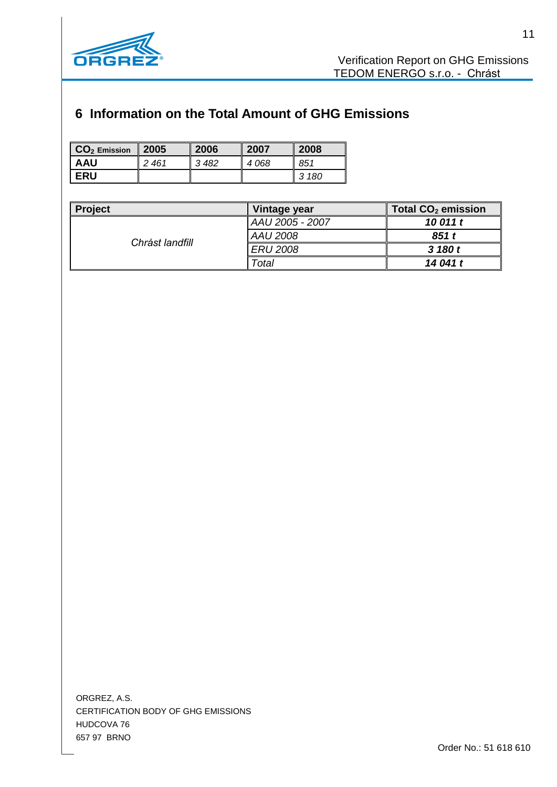

# **6 Information on the Total Amount of GHG Emissions**

| $\overline{\phantom{a}}$ CO <sub>2</sub> Emission | 2005 | 2006 | 2007 | 2008  |
|---------------------------------------------------|------|------|------|-------|
| AAU                                               | 2461 | 3482 | 4068 | 851   |
| I ERU                                             |      |      |      | 3 180 |

| <b>Project</b>  | Vintage year    | Total CO <sub>2</sub> emission |
|-----------------|-----------------|--------------------------------|
| Chrást landfill | AAU 2005 - 2007 | 10 011 t                       |
|                 | <b>AAU 2008</b> | 851 t                          |
|                 | <b>ERU 2008</b> | 3 180 t                        |
|                 | Total           | 14 041 t                       |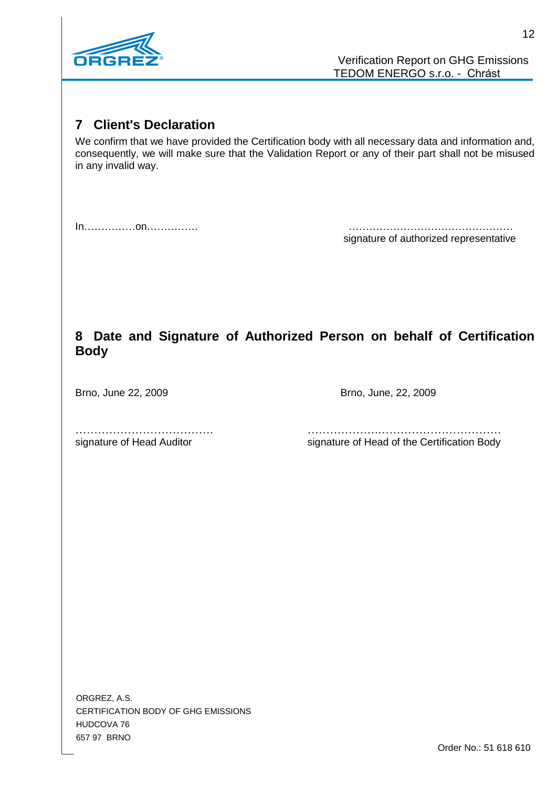

# **7 Client's Declaration**

We confirm that we have provided the Certification body with all necessary data and information and, consequently, we will make sure that the Validation Report or any of their part shall not be misused in any invalid way.

In……………on…………… ………………………………………… signature of authorized representative

# **8 Date and Signature of Authorized Person on behalf of Certification Body**

Brno, June 22, 2009 **Brno**, June, 22, 2009

………………………………. ……………….…………………………… signature of Head Auditor signature of Head of the Certification Body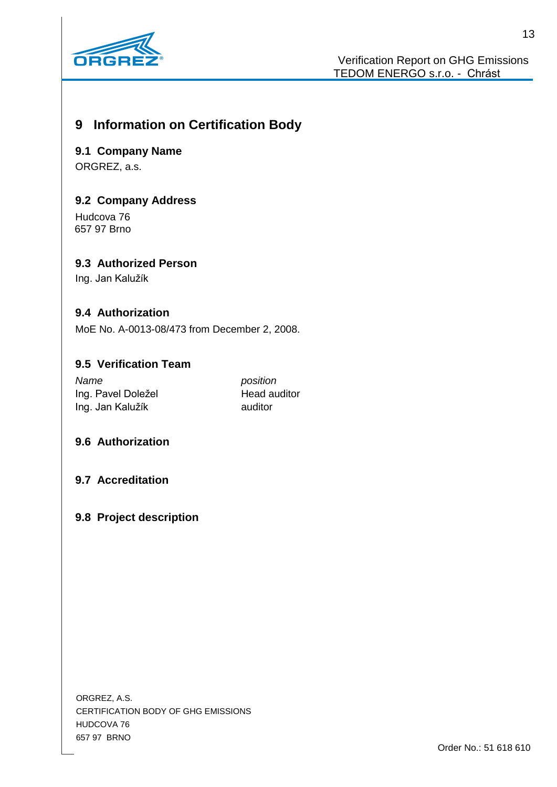

# **9 Information on Certification Body**

**9.1 Company Name** ORGREZ, a.s.

# **9.2 Company Address**

Hudcova 76 657 97 Brno

# **9.3 Authorized Person**

Ing. Jan Kalužík

## **9.4 Authorization**

MoE No. A-0013-08/473 from December 2, 2008.

# **9.5 Verification Team**

*Name position* Ing. Pavel Doležel **Head auditor** Ing. Jan Kalužík **auditor** 

## **9.6 Authorization**

**9.7 Accreditation**

## **9.8 Project description**